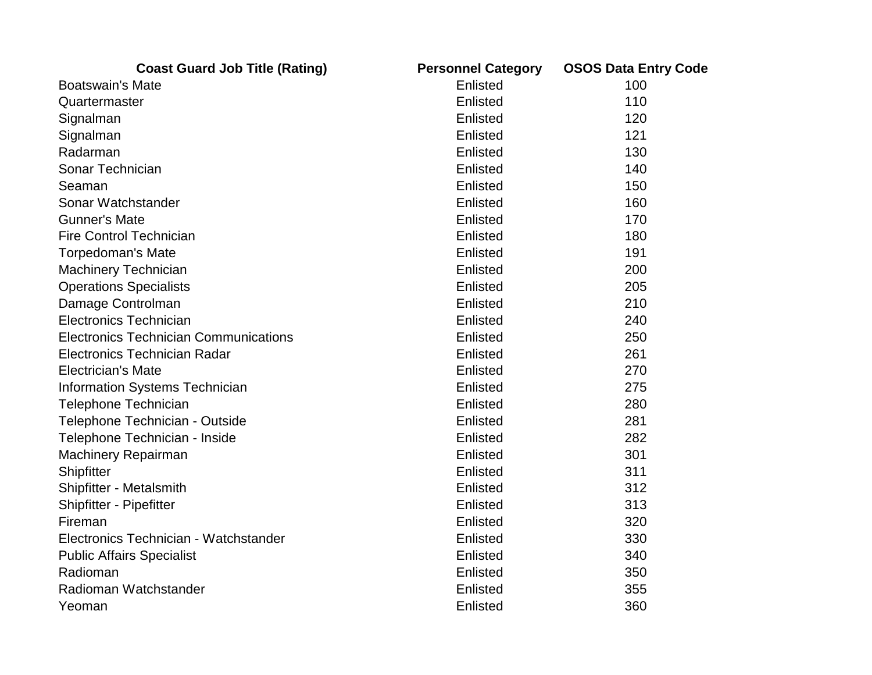| <b>Coast Guard Job Title (Rating)</b>        | <b>Personnel Category</b> | <b>OSOS Data Entry Code</b> |
|----------------------------------------------|---------------------------|-----------------------------|
| <b>Boatswain's Mate</b>                      | Enlisted                  | 100                         |
| Quartermaster                                | Enlisted                  | 110                         |
| Signalman                                    | Enlisted                  | 120                         |
| Signalman                                    | Enlisted                  | 121                         |
| Radarman                                     | Enlisted                  | 130                         |
| Sonar Technician                             | Enlisted                  | 140                         |
| Seaman                                       | Enlisted                  | 150                         |
| Sonar Watchstander                           | Enlisted                  | 160                         |
| <b>Gunner's Mate</b>                         | Enlisted                  | 170                         |
| <b>Fire Control Technician</b>               | Enlisted                  | 180                         |
| <b>Torpedoman's Mate</b>                     | Enlisted                  | 191                         |
| <b>Machinery Technician</b>                  | Enlisted                  | 200                         |
| <b>Operations Specialists</b>                | Enlisted                  | 205                         |
| Damage Controlman                            | Enlisted                  | 210                         |
| <b>Electronics Technician</b>                | Enlisted                  | 240                         |
| <b>Electronics Technician Communications</b> | Enlisted                  | 250                         |
| <b>Electronics Technician Radar</b>          | Enlisted                  | 261                         |
| <b>Electrician's Mate</b>                    | Enlisted                  | 270                         |
| <b>Information Systems Technician</b>        | Enlisted                  | 275                         |
| <b>Telephone Technician</b>                  | Enlisted                  | 280                         |
| Telephone Technician - Outside               | Enlisted                  | 281                         |
| Telephone Technician - Inside                | Enlisted                  | 282                         |
| <b>Machinery Repairman</b>                   | Enlisted                  | 301                         |
| Shipfitter                                   | Enlisted                  | 311                         |
| Shipfitter - Metalsmith                      | Enlisted                  | 312                         |
| Shipfitter - Pipefitter                      | Enlisted                  | 313                         |
| Fireman                                      | Enlisted                  | 320                         |
| Electronics Technician - Watchstander        | Enlisted                  | 330                         |
| <b>Public Affairs Specialist</b>             | Enlisted                  | 340                         |
| Radioman                                     | Enlisted                  | 350                         |
| Radioman Watchstander                        | Enlisted                  | 355                         |
| Yeoman                                       | Enlisted                  | 360                         |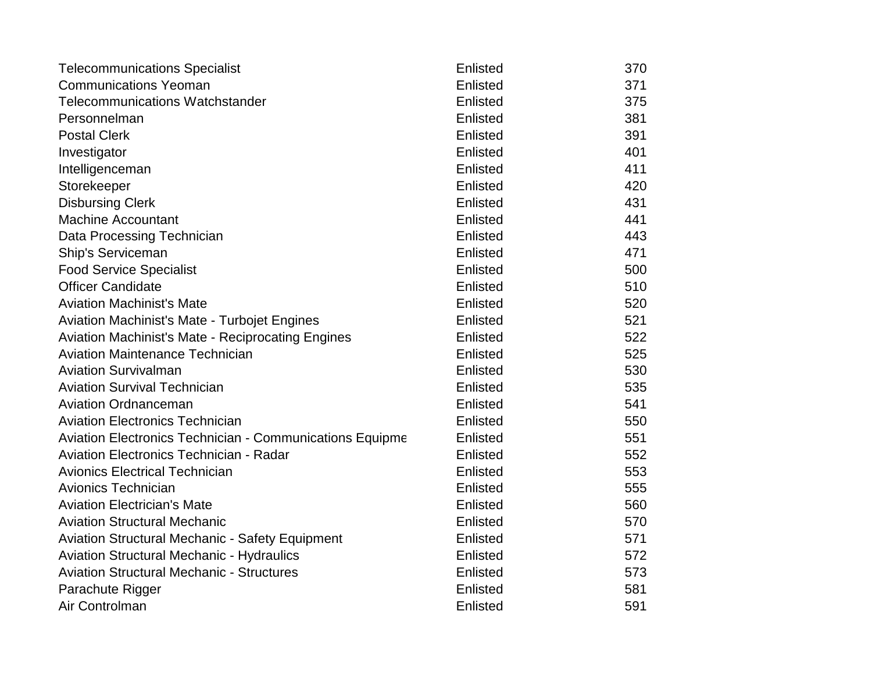| <b>Telecommunications Specialist</b>                            | Enlisted        | 370 |
|-----------------------------------------------------------------|-----------------|-----|
| <b>Communications Yeoman</b>                                    | Enlisted        | 371 |
| <b>Telecommunications Watchstander</b>                          | Enlisted        | 375 |
| Personnelman                                                    | Enlisted        | 381 |
| <b>Postal Clerk</b>                                             | Enlisted        | 391 |
| Investigator                                                    | Enlisted        | 401 |
| Intelligenceman                                                 | Enlisted        | 411 |
| Storekeeper                                                     | Enlisted        | 420 |
| <b>Disbursing Clerk</b>                                         | Enlisted        | 431 |
| <b>Machine Accountant</b>                                       | Enlisted        | 441 |
| Data Processing Technician                                      | Enlisted        | 443 |
| Ship's Serviceman                                               | Enlisted        | 471 |
| <b>Food Service Specialist</b>                                  | Enlisted        | 500 |
| <b>Officer Candidate</b>                                        | Enlisted        | 510 |
| <b>Aviation Machinist's Mate</b>                                | Enlisted        | 520 |
| Aviation Machinist's Mate - Turbojet Engines                    | Enlisted        | 521 |
| <b>Aviation Machinist's Mate - Reciprocating Engines</b>        | Enlisted        | 522 |
| <b>Aviation Maintenance Technician</b>                          | Enlisted        | 525 |
| <b>Aviation Survivalman</b>                                     | Enlisted        | 530 |
| <b>Aviation Survival Technician</b>                             | Enlisted        | 535 |
| <b>Aviation Ordnanceman</b>                                     | Enlisted        | 541 |
| <b>Aviation Electronics Technician</b>                          | Enlisted        | 550 |
| <b>Aviation Electronics Technician - Communications Equipme</b> | Enlisted        | 551 |
| <b>Aviation Electronics Technician - Radar</b>                  | Enlisted        | 552 |
| <b>Avionics Electrical Technician</b>                           | Enlisted        | 553 |
| Avionics Technician                                             | Enlisted        | 555 |
| <b>Aviation Electrician's Mate</b>                              | Enlisted        | 560 |
| <b>Aviation Structural Mechanic</b>                             | Enlisted        | 570 |
| <b>Aviation Structural Mechanic - Safety Equipment</b>          | <b>Enlisted</b> | 571 |
| <b>Aviation Structural Mechanic - Hydraulics</b>                | Enlisted        | 572 |
| <b>Aviation Structural Mechanic - Structures</b>                | <b>Enlisted</b> | 573 |
| Parachute Rigger                                                | Enlisted        | 581 |
| Air Controlman                                                  | Enlisted        | 591 |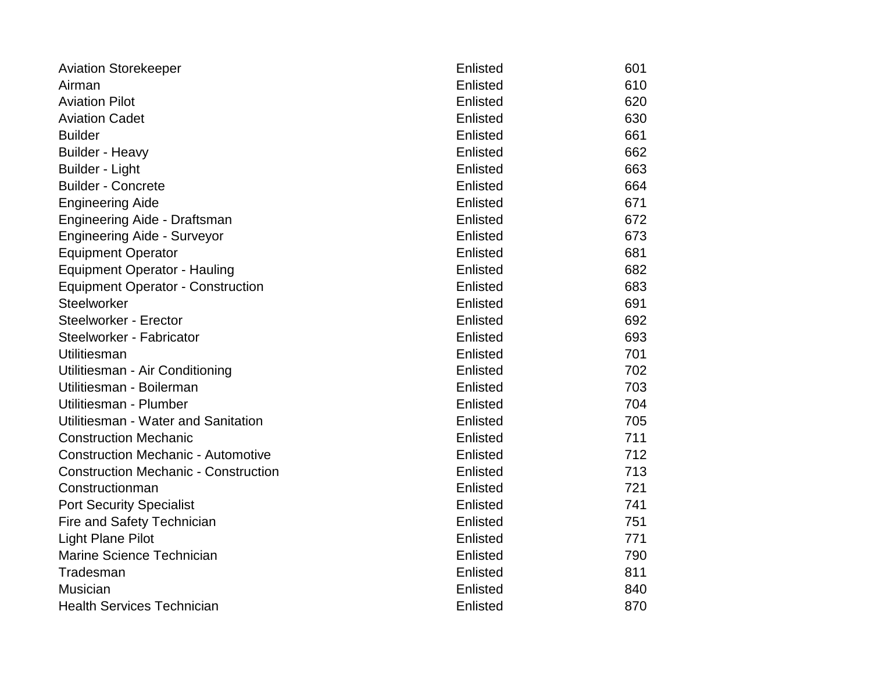| <b>Aviation Storekeeper</b>                 | Enlisted | 601 |
|---------------------------------------------|----------|-----|
| Airman                                      | Enlisted | 610 |
| <b>Aviation Pilot</b>                       | Enlisted | 620 |
| <b>Aviation Cadet</b>                       | Enlisted | 630 |
| <b>Builder</b>                              | Enlisted | 661 |
| <b>Builder - Heavy</b>                      | Enlisted | 662 |
| <b>Builder - Light</b>                      | Enlisted | 663 |
| <b>Builder - Concrete</b>                   | Enlisted | 664 |
| <b>Engineering Aide</b>                     | Enlisted | 671 |
| Engineering Aide - Draftsman                | Enlisted | 672 |
| <b>Engineering Aide - Surveyor</b>          | Enlisted | 673 |
| <b>Equipment Operator</b>                   | Enlisted | 681 |
| <b>Equipment Operator - Hauling</b>         | Enlisted | 682 |
| <b>Equipment Operator - Construction</b>    | Enlisted | 683 |
| <b>Steelworker</b>                          | Enlisted | 691 |
| <b>Steelworker - Erector</b>                | Enlisted | 692 |
| Steelworker - Fabricator                    | Enlisted | 693 |
| Utilitiesman                                | Enlisted | 701 |
| Utilitiesman - Air Conditioning             | Enlisted | 702 |
| Utilitiesman - Boilerman                    | Enlisted | 703 |
| Utilitiesman - Plumber                      | Enlisted | 704 |
| Utilitiesman - Water and Sanitation         | Enlisted | 705 |
| <b>Construction Mechanic</b>                | Enlisted | 711 |
| <b>Construction Mechanic - Automotive</b>   | Enlisted | 712 |
| <b>Construction Mechanic - Construction</b> | Enlisted | 713 |
| Constructionman                             | Enlisted | 721 |
| <b>Port Security Specialist</b>             | Enlisted | 741 |
| Fire and Safety Technician                  | Enlisted | 751 |
| <b>Light Plane Pilot</b>                    | Enlisted | 771 |
| Marine Science Technician                   | Enlisted | 790 |
| Tradesman                                   | Enlisted | 811 |
| <b>Musician</b>                             | Enlisted | 840 |
| <b>Health Services Technician</b>           | Enlisted | 870 |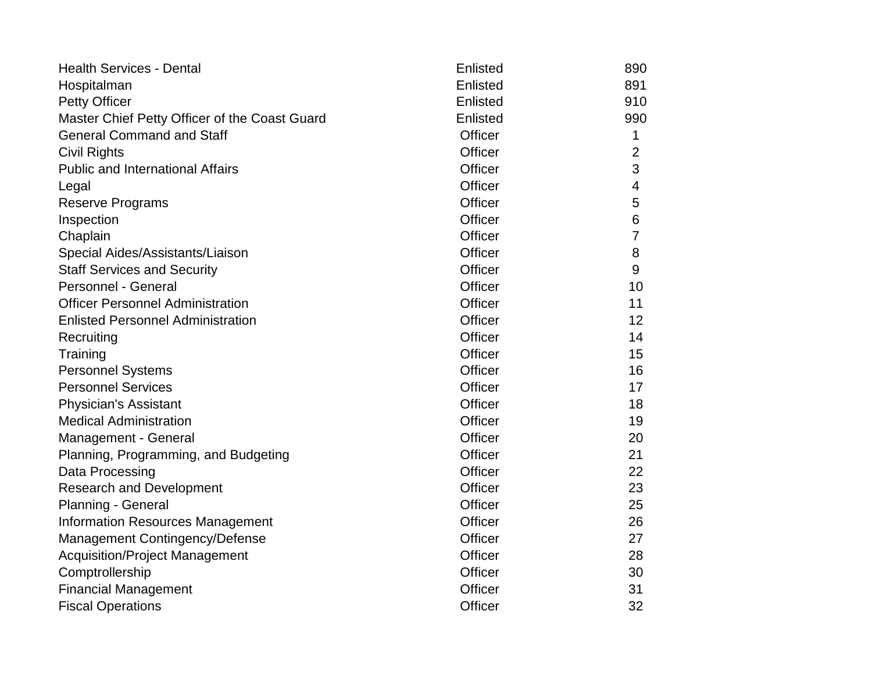| <b>Health Services - Dental</b>               | Enlisted       | 890            |
|-----------------------------------------------|----------------|----------------|
| Hospitalman                                   | Enlisted       | 891            |
| <b>Petty Officer</b>                          | Enlisted       | 910            |
| Master Chief Petty Officer of the Coast Guard | Enlisted       | 990            |
| <b>General Command and Staff</b>              | <b>Officer</b> | 1              |
| <b>Civil Rights</b>                           | Officer        | $\overline{2}$ |
| <b>Public and International Affairs</b>       | <b>Officer</b> | 3              |
| Legal                                         | <b>Officer</b> | $\overline{4}$ |
| <b>Reserve Programs</b>                       | <b>Officer</b> | 5              |
| Inspection                                    | <b>Officer</b> | 6              |
| Chaplain                                      | <b>Officer</b> | 7              |
| Special Aides/Assistants/Liaison              | <b>Officer</b> | 8              |
| <b>Staff Services and Security</b>            | Officer        | 9              |
| Personnel - General                           | <b>Officer</b> | 10             |
| <b>Officer Personnel Administration</b>       | <b>Officer</b> | 11             |
| <b>Enlisted Personnel Administration</b>      | <b>Officer</b> | 12             |
| Recruiting                                    | <b>Officer</b> | 14             |
| Training                                      | <b>Officer</b> | 15             |
| <b>Personnel Systems</b>                      | Officer        | 16             |
| <b>Personnel Services</b>                     | Officer        | 17             |
| <b>Physician's Assistant</b>                  | <b>Officer</b> | 18             |
| <b>Medical Administration</b>                 | <b>Officer</b> | 19             |
| Management - General                          | <b>Officer</b> | 20             |
| Planning, Programming, and Budgeting          | <b>Officer</b> | 21             |
| Data Processing                               | <b>Officer</b> | 22             |
| <b>Research and Development</b>               | <b>Officer</b> | 23             |
| <b>Planning - General</b>                     | <b>Officer</b> | 25             |
| <b>Information Resources Management</b>       | <b>Officer</b> | 26             |
| Management Contingency/Defense                | <b>Officer</b> | 27             |
| <b>Acquisition/Project Management</b>         | <b>Officer</b> | 28             |
| Comptrollership                               | <b>Officer</b> | 30             |
| <b>Financial Management</b>                   | <b>Officer</b> | 31             |
| <b>Fiscal Operations</b>                      | <b>Officer</b> | 32             |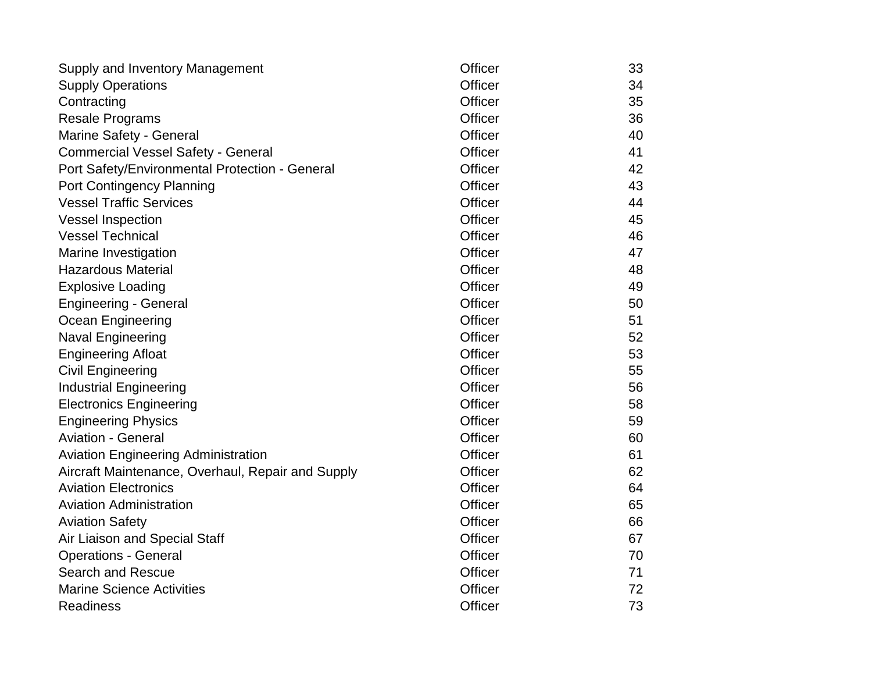| Supply and Inventory Management                   | <b>Officer</b> | 33 |
|---------------------------------------------------|----------------|----|
| <b>Supply Operations</b>                          | Officer        | 34 |
| Contracting                                       | <b>Officer</b> | 35 |
| <b>Resale Programs</b>                            | <b>Officer</b> | 36 |
| Marine Safety - General                           | <b>Officer</b> | 40 |
| <b>Commercial Vessel Safety - General</b>         | <b>Officer</b> | 41 |
| Port Safety/Environmental Protection - General    | <b>Officer</b> | 42 |
| <b>Port Contingency Planning</b>                  | <b>Officer</b> | 43 |
| <b>Vessel Traffic Services</b>                    | <b>Officer</b> | 44 |
| <b>Vessel Inspection</b>                          | <b>Officer</b> | 45 |
| <b>Vessel Technical</b>                           | <b>Officer</b> | 46 |
| Marine Investigation                              | <b>Officer</b> | 47 |
| <b>Hazardous Material</b>                         | <b>Officer</b> | 48 |
| <b>Explosive Loading</b>                          | <b>Officer</b> | 49 |
| <b>Engineering - General</b>                      | <b>Officer</b> | 50 |
| Ocean Engineering                                 | <b>Officer</b> | 51 |
| <b>Naval Engineering</b>                          | <b>Officer</b> | 52 |
| <b>Engineering Afloat</b>                         | <b>Officer</b> | 53 |
| <b>Civil Engineering</b>                          | <b>Officer</b> | 55 |
| <b>Industrial Engineering</b>                     | <b>Officer</b> | 56 |
| <b>Electronics Engineering</b>                    | <b>Officer</b> | 58 |
| <b>Engineering Physics</b>                        | <b>Officer</b> | 59 |
| <b>Aviation - General</b>                         | <b>Officer</b> | 60 |
| <b>Aviation Engineering Administration</b>        | <b>Officer</b> | 61 |
| Aircraft Maintenance, Overhaul, Repair and Supply | <b>Officer</b> | 62 |
| <b>Aviation Electronics</b>                       | <b>Officer</b> | 64 |
| <b>Aviation Administration</b>                    | <b>Officer</b> | 65 |
| <b>Aviation Safety</b>                            | <b>Officer</b> | 66 |
| Air Liaison and Special Staff                     | <b>Officer</b> | 67 |
| <b>Operations - General</b>                       | Officer        | 70 |
| <b>Search and Rescue</b>                          | <b>Officer</b> | 71 |
| <b>Marine Science Activities</b>                  | <b>Officer</b> | 72 |
| <b>Readiness</b>                                  | <b>Officer</b> | 73 |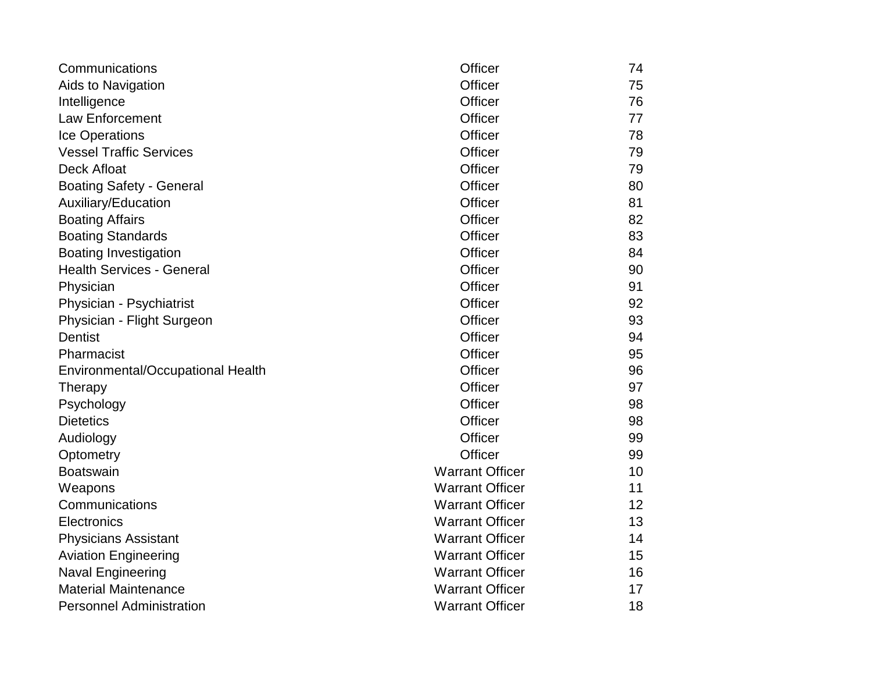| Communications                    | Officer                | 74 |
|-----------------------------------|------------------------|----|
| Aids to Navigation                | Officer                | 75 |
| Intelligence                      | <b>Officer</b>         | 76 |
| <b>Law Enforcement</b>            | <b>Officer</b>         | 77 |
| Ice Operations                    | <b>Officer</b>         | 78 |
| <b>Vessel Traffic Services</b>    | <b>Officer</b>         | 79 |
| <b>Deck Afloat</b>                | <b>Officer</b>         | 79 |
| <b>Boating Safety - General</b>   | <b>Officer</b>         | 80 |
| Auxiliary/Education               | <b>Officer</b>         | 81 |
| <b>Boating Affairs</b>            | Officer                | 82 |
| <b>Boating Standards</b>          | <b>Officer</b>         | 83 |
| <b>Boating Investigation</b>      | <b>Officer</b>         | 84 |
| <b>Health Services - General</b>  | <b>Officer</b>         | 90 |
| Physician                         | Officer                | 91 |
| Physician - Psychiatrist          | <b>Officer</b>         | 92 |
| Physician - Flight Surgeon        | <b>Officer</b>         | 93 |
| <b>Dentist</b>                    | <b>Officer</b>         | 94 |
| Pharmacist                        | Officer                | 95 |
| Environmental/Occupational Health | <b>Officer</b>         | 96 |
| Therapy                           | Officer                | 97 |
| Psychology                        | <b>Officer</b>         | 98 |
| <b>Dietetics</b>                  | Officer                | 98 |
| Audiology                         | <b>Officer</b>         | 99 |
| Optometry                         | <b>Officer</b>         | 99 |
| <b>Boatswain</b>                  | <b>Warrant Officer</b> | 10 |
| Weapons                           | <b>Warrant Officer</b> | 11 |
| Communications                    | <b>Warrant Officer</b> | 12 |
| Electronics                       | <b>Warrant Officer</b> | 13 |
| <b>Physicians Assistant</b>       | <b>Warrant Officer</b> | 14 |
| <b>Aviation Engineering</b>       | <b>Warrant Officer</b> | 15 |
| Naval Engineering                 | <b>Warrant Officer</b> | 16 |
| <b>Material Maintenance</b>       | <b>Warrant Officer</b> | 17 |
| <b>Personnel Administration</b>   | <b>Warrant Officer</b> | 18 |